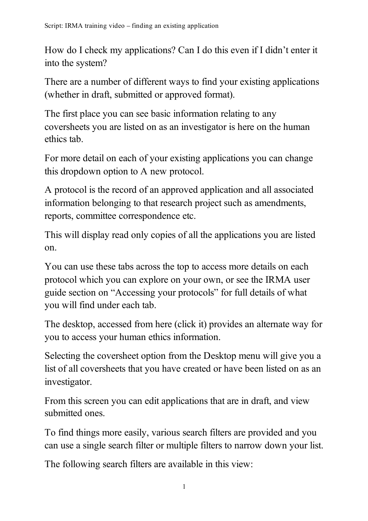How do I check my applications? Can I do this even if I didn't enter it into the system?

There are a number of different ways to find your existing applications (whether in draft, submitted or approved format).

The first place you can see basic information relating to any coversheets you are listed on as an investigator is here on the human ethics tab.

For more detail on each of your existing applications you can change this dropdown option to A new protocol.

A protocol is the record of an approved application and all associated information belonging to that research project such as amendments, reports, committee correspondence etc.

This will display read only copies of all the applications you are listed on.

You can use these tabs across the top to access more details on each protocol which you can explore on your own, or see the IRMA user guide section on "Accessing your protocols" for full details of what you will find under each tab.

The desktop, accessed from here (click it) provides an alternate way for you to access your human ethics information.

Selecting the coversheet option from the Desktop menu will give you a list of all coversheets that you have created or have been listed on as an investigator.

From this screen you can edit applications that are in draft, and view submitted ones.

To find things more easily, various search filters are provided and you can use a single search filter or multiple filters to narrow down your list.

The following search filters are available in this view: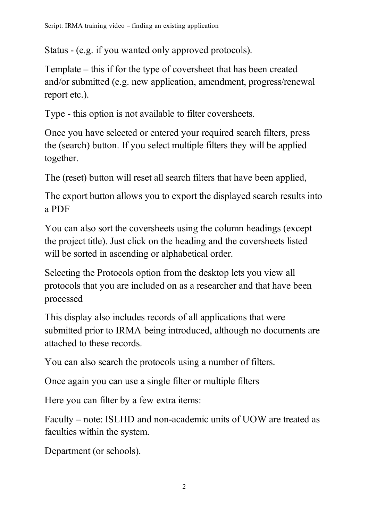Status - (e.g. if you wanted only approved protocols).

Template – this if for the type of coversheet that has been created and/or submitted (e.g. new application, amendment, progress/renewal report etc.).

Type - this option is not available to filter coversheets.

Once you have selected or entered your required search filters, press the (search) button. If you select multiple filters they will be applied together.

The (reset) button will reset all search filters that have been applied,

The export button allows you to export the displayed search results into a PDF

You can also sort the coversheets using the column headings (except the project title). Just click on the heading and the coversheets listed will be sorted in ascending or alphabetical order.

Selecting the Protocols option from the desktop lets you view all protocols that you are included on as a researcher and that have been processed

This display also includes records of all applications that were submitted prior to IRMA being introduced, although no documents are attached to these records.

You can also search the protocols using a number of filters.

Once again you can use a single filter or multiple filters

Here you can filter by a few extra items:

Faculty – note: ISLHD and non-academic units of UOW are treated as faculties within the system.

Department (or schools).